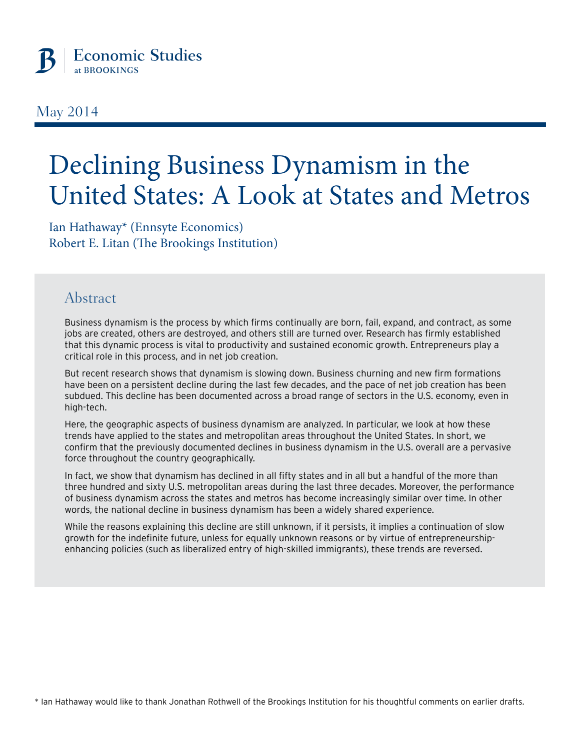

### May 2014

# Declining Business Dynamism in the United States: A Look at States and Metros

Ian Hathaway\* (Ennsyte Economics) Robert E. Litan (The Brookings Institution)

### Abstract

Business dynamism is the process by which firms continually are born, fail, expand, and contract, as some jobs are created, others are destroyed, and others still are turned over. Research has firmly established that this dynamic process is vital to productivity and sustained economic growth. Entrepreneurs play a critical role in this process, and in net job creation.

But recent research shows that dynamism is slowing down. Business churning and new firm formations have been on a persistent decline during the last few decades, and the pace of net job creation has been subdued. This decline has been documented across a broad range of sectors in the U.S. economy, even in high-tech.

Here, the geographic aspects of business dynamism are analyzed. In particular, we look at how these trends have applied to the states and metropolitan areas throughout the United States. In short, we confirm that the previously documented declines in business dynamism in the U.S. overall are a pervasive force throughout the country geographically.

In fact, we show that dynamism has declined in all fifty states and in all but a handful of the more than three hundred and sixty U.S. metropolitan areas during the last three decades. Moreover, the performance of business dynamism across the states and metros has become increasingly similar over time. In other words, the national decline in business dynamism has been a widely shared experience.

While the reasons explaining this decline are still unknown, if it persists, it implies a continuation of slow growth for the indefinite future, unless for equally unknown reasons or by virtue of entrepreneurshipenhancing policies (such as liberalized entry of high-skilled immigrants), these trends are reversed.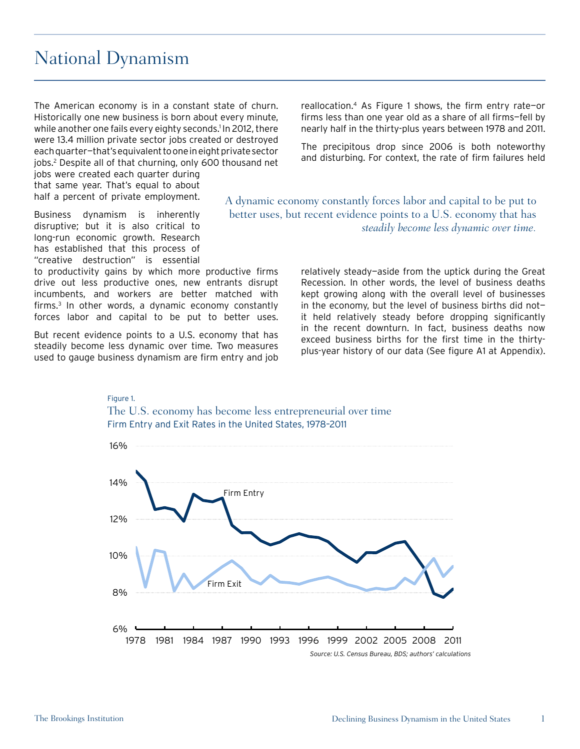### National Dynamism

The American economy is in a constant state of churn. Historically one new business is born about every minute, while another one fails every eighty seconds.<sup>1</sup> In 2012, there were 13.4 million private sector jobs created or destroyed each quarter—that's equivalent to one in eight private sector jobs.2 Despite all of that churning, only 600 thousand net

jobs were created each quarter during that same year. That's equal to about half a percent of private employment.

Business dynamism is inherently disruptive; but it is also critical to long-run economic growth. Research has established that this process of "creative destruction" is essential

to productivity gains by which more productive firms drive out less productive ones, new entrants disrupt incumbents, and workers are better matched with firms.<sup>3</sup> In other words, a dynamic economy constantly forces labor and capital to be put to better uses.

But recent evidence points to a U.S. economy that has steadily become less dynamic over time. Two measures used to gauge business dynamism are firm entry and job reallocation.4 As Figure 1 shows, the firm entry rate—or firms less than one year old as a share of all firms—fell by nearly half in the thirty-plus years between 1978 and 2011.

The precipitous drop since 2006 is both noteworthy and disturbing. For context, the rate of firm failures held

A dynamic economy constantly forces labor and capital to be put to better uses, but recent evidence points to a U.S. economy that has *steadily become less dynamic over time.*

> relatively steady—aside from the uptick during the Great Recession. In other words, the level of business deaths kept growing along with the overall level of businesses in the economy, but the level of business births did not it held relatively steady before dropping significantly in the recent downturn. In fact, business deaths now exceed business births for the first time in the thirtyplus-year history of our data (See figure A1 at Appendix).



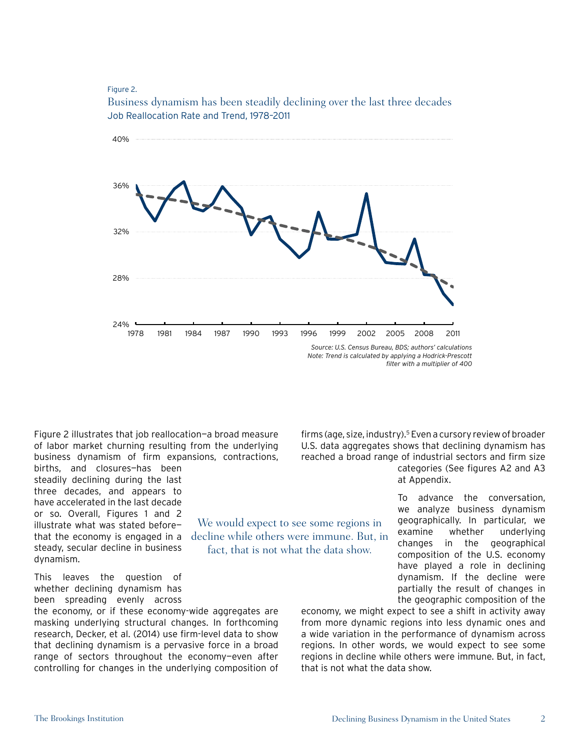#### Figure 2.



We would expect to see some regions in decline while others were immune. But, in fact, that is not what the data show.

Business dynamism has been steadily declining over the last three decades Job Reallocation Rate and Trend, 1978–2011

*Note: Trend is calculated by applying a Hodrick-Prescott filter with a multiplier of 400*

Figure 2 illustrates that job reallocation—a broad measure of labor market churning resulting from the underlying business dynamism of firm expansions, contractions,

births, and closures—has been steadily declining during the last three decades, and appears to have accelerated in the last decade or so. Overall, Figures 1 and 2 illustrate what was stated before that the economy is engaged in a steady, secular decline in business dynamism.

This leaves the question of whether declining dynamism has been spreading evenly across

the economy, or if these economy-wide aggregates are masking underlying structural changes. In forthcoming research, Decker, et al. (2014) use firm-level data to show that declining dynamism is a pervasive force in a broad range of sectors throughout the economy-even after controlling for changes in the underlying composition of

firms (age, size, industry).5 Even a cursory review of broader U.S. data aggregates shows that declining dynamism has reached a broad range of industrial sectors and firm size categories (See figures A2 and A3 at Appendix.

> To advance the conversation, we analyze business dynamism geographically. In particular, we examine whether underlying changes in the geographical composition of the U.S. economy have played a role in declining dynamism. If the decline were partially the result of changes in the geographic composition of the

economy, we might expect to see a shift in activity away from more dynamic regions into less dynamic ones and a wide variation in the performance of dynamism across regions. In other words, we would expect to see some regions in decline while others were immune. But, in fact, that is not what the data show.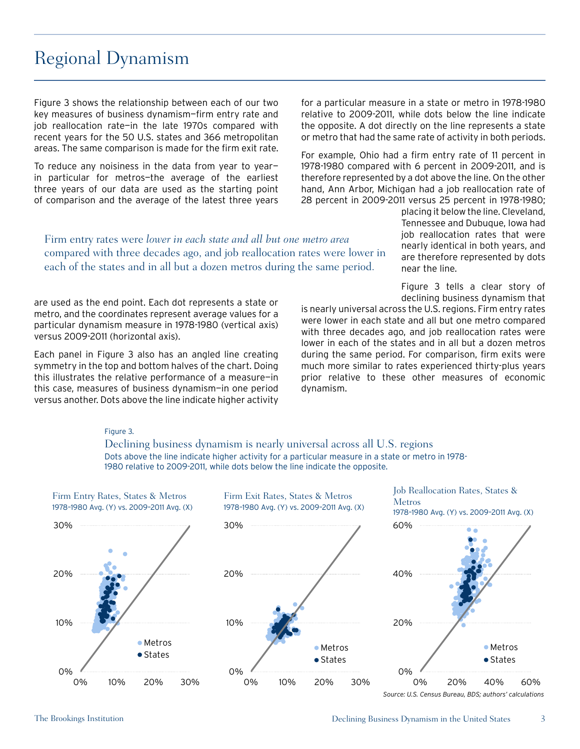## Regional Dynamism

Figure 3 shows the relationship between each of our two key measures of business dynamism—firm entry rate and job reallocation rate—in the late 1970s compared with recent years for the 50 U.S. states and 366 metropolitan areas. The same comparison is made for the firm exit rate.

To reduce any noisiness in the data from year to year in particular for metros—the average of the earliest three years of our data are used as the starting point of comparison and the average of the latest three years

for a particular measure in a state or metro in 1978-1980 relative to 2009-2011, while dots below the line indicate the opposite. A dot directly on the line represents a state or metro that had the same rate of activity in both periods.

For example, Ohio had a firm entry rate of 11 percent in 1978-1980 compared with 6 percent in 2009-2011, and is therefore represented by a dot above the line. On the other hand, Ann Arbor, Michigan had a job reallocation rate of 28 percent in 2009-2011 versus 25 percent in 1978-1980;

Firm entry rates were *lower in each state and all but one metro area*  compared with three decades ago, and job reallocation rates were lower in each of the states and in all but a dozen metros during the same period.

are used as the end point. Each dot represents a state or metro, and the coordinates represent average values for a particular dynamism measure in 1978-1980 (vertical axis) versus 2009-2011 (horizontal axis).

Each panel in Figure 3 also has an angled line creating symmetry in the top and bottom halves of the chart. Doing this illustrates the relative performance of a measure—in this case, measures of business dynamism—in one period versus another. Dots above the line indicate higher activity

placing it below the line. Cleveland, Tennessee and Dubuque, Iowa had job reallocation rates that were nearly identical in both years, and are therefore represented by dots near the line.

Figure 3 tells a clear story of declining business dynamism that

is nearly universal across the U.S. regions. Firm entry rates were lower in each state and all but one metro compared with three decades ago, and job reallocation rates were lower in each of the states and in all but a dozen metros during the same period. For comparison, firm exits were much more similar to rates experienced thirty-plus years prior relative to these other measures of economic dynamism.

#### Figure 3.

Declining business dynamism is nearly universal across all U.S. regions Dots above the line indicate higher activity for a particular measure in a state or metro in 1978- 1980 relative to 2009-2011, while dots below the line indicate the opposite.



*Source: U.S. Census Bureau, BDS; authors' calculations*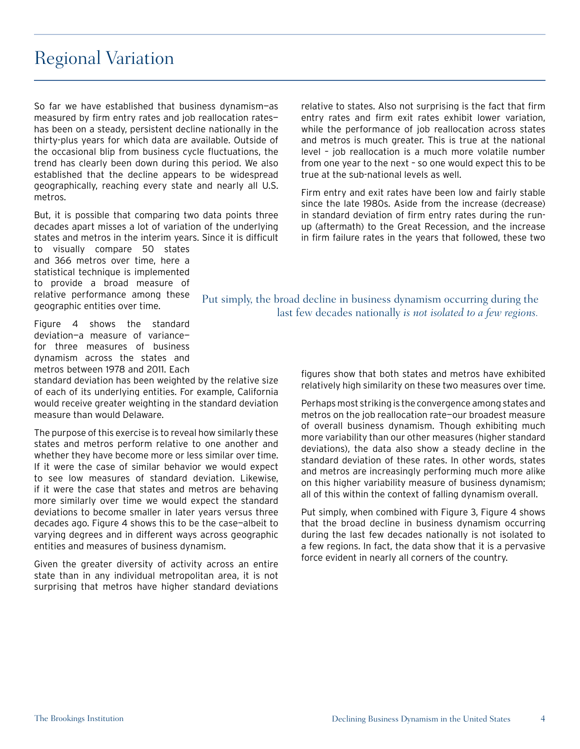### Regional Variation

So far we have established that business dynamism—as measured by firm entry rates and job reallocation rates has been on a steady, persistent decline nationally in the thirty-plus years for which data are available. Outside of the occasional blip from business cycle fluctuations, the trend has clearly been down during this period. We also established that the decline appears to be widespread geographically, reaching every state and nearly all U.S. metros.

But, it is possible that comparing two data points three decades apart misses a lot of variation of the underlying states and metros in the interim years. Since it is difficult

to visually compare 50 states and 366 metros over time, here a statistical technique is implemented to provide a broad measure of relative performance among these geographic entities over time.

Figure 4 shows the standard deviation—a measure of variance for three measures of business dynamism across the states and metros between 1978 and 2011. Each

standard deviation has been weighted by the relative size of each of its underlying entities. For example, California would receive greater weighting in the standard deviation measure than would Delaware.

The purpose of this exercise is to reveal how similarly these states and metros perform relative to one another and whether they have become more or less similar over time. If it were the case of similar behavior we would expect to see low measures of standard deviation. Likewise, if it were the case that states and metros are behaving more similarly over time we would expect the standard deviations to become smaller in later years versus three decades ago. Figure 4 shows this to be the case—albeit to varying degrees and in different ways across geographic entities and measures of business dynamism.

Given the greater diversity of activity across an entire state than in any individual metropolitan area, it is not surprising that metros have higher standard deviations

relative to states. Also not surprising is the fact that firm entry rates and firm exit rates exhibit lower variation, while the performance of job reallocation across states and metros is much greater. This is true at the national level – job reallocation is a much more volatile number from one year to the next – so one would expect this to be true at the sub-national levels as well.

Firm entry and exit rates have been low and fairly stable since the late 1980s. Aside from the increase (decrease) in standard deviation of firm entry rates during the runup (aftermath) to the Great Recession, and the increase in firm failure rates in the years that followed, these two

Put simply, the broad decline in business dynamism occurring during the last few decades nationally *is not isolated to a few regions.*

> figures show that both states and metros have exhibited relatively high similarity on these two measures over time.

> Perhaps most striking is the convergence among states and metros on the job reallocation rate—our broadest measure of overall business dynamism. Though exhibiting much more variability than our other measures (higher standard deviations), the data also show a steady decline in the standard deviation of these rates. In other words, states and metros are increasingly performing much more alike on this higher variability measure of business dynamism; all of this within the context of falling dynamism overall.

> Put simply, when combined with Figure 3, Figure 4 shows that the broad decline in business dynamism occurring during the last few decades nationally is not isolated to a few regions. In fact, the data show that it is a pervasive force evident in nearly all corners of the country.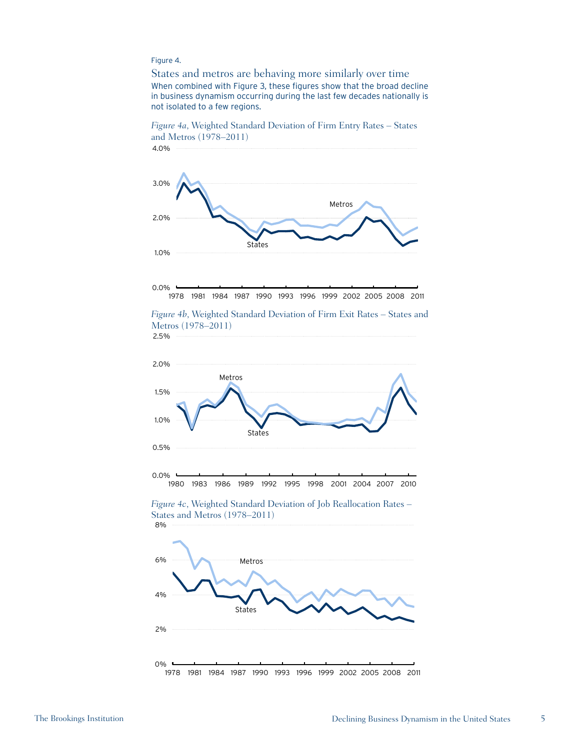#### Figure 4.

States and metros are behaving more similarly over time When combined with Figure 3, these figures show that the broad decline in business dynamism occurring during the last few decades nationally is not isolated to a few regions.





1978 1981 1984 1987 1990 1993 1996 1999 2002 2005 2008 2011



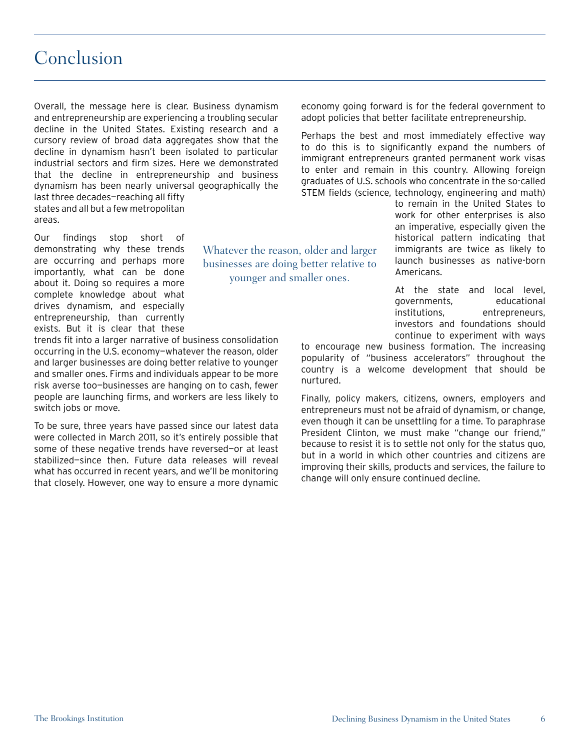### Conclusion

Overall, the message here is clear. Business dynamism and entrepreneurship are experiencing a troubling secular decline in the United States. Existing research and a cursory review of broad data aggregates show that the decline in dynamism hasn't been isolated to particular industrial sectors and firm sizes. Here we demonstrated that the decline in entrepreneurship and business dynamism has been nearly universal geographically the last three decades—reaching all fifty states and all but a few metropolitan areas.

> Whatever the reason, older and larger businesses are doing better relative to younger and smaller ones.

Our findings stop short of demonstrating why these trends are occurring and perhaps more importantly, what can be done about it. Doing so requires a more complete knowledge about what drives dynamism, and especially entrepreneurship, than currently exists. But it is clear that these

trends fit into a larger narrative of business consolidation occurring in the U.S. economy—whatever the reason, older and larger businesses are doing better relative to younger and smaller ones. Firms and individuals appear to be more risk averse too—businesses are hanging on to cash, fewer people are launching firms, and workers are less likely to switch jobs or move.

To be sure, three years have passed since our latest data were collected in March 2011, so it's entirely possible that some of these negative trends have reversed—or at least stabilized—since then. Future data releases will reveal what has occurred in recent years, and we'll be monitoring that closely. However, one way to ensure a more dynamic

economy going forward is for the federal government to adopt policies that better facilitate entrepreneurship.

Perhaps the best and most immediately effective way to do this is to significantly expand the numbers of immigrant entrepreneurs granted permanent work visas to enter and remain in this country. Allowing foreign graduates of U.S. schools who concentrate in the so-called STEM fields (science, technology, engineering and math)

> to remain in the United States to work for other enterprises is also an imperative, especially given the historical pattern indicating that immigrants are twice as likely to launch businesses as native-born Americans.

> At the state and local level, governments, educational institutions, entrepreneurs, investors and foundations should continue to experiment with ways

to encourage new business formation. The increasing popularity of "business accelerators" throughout the country is a welcome development that should be nurtured.

Finally, policy makers, citizens, owners, employers and entrepreneurs must not be afraid of dynamism, or change, even though it can be unsettling for a time. To paraphrase President Clinton, we must make "change our friend," because to resist it is to settle not only for the status quo, but in a world in which other countries and citizens are improving their skills, products and services, the failure to change will only ensure continued decline.